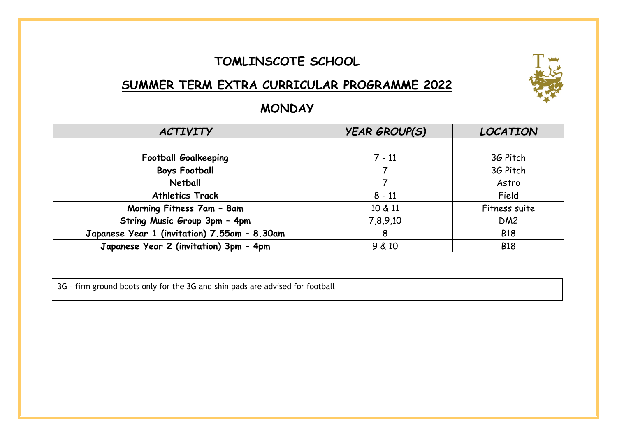#### **TOMLINSCOTE SCHOOL**

### **SUMMER TERM EXTRA CURRICULAR PROGRAMME 2022**



#### **MONDAY**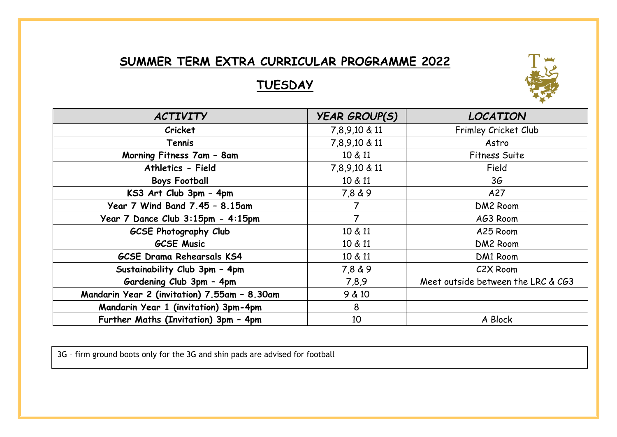## **TUESDAY**



| <b>ACTIVITY</b>                              | <b>YEAR GROUP(S)</b> | <b>LOCATION</b>                    |
|----------------------------------------------|----------------------|------------------------------------|
| Cricket                                      | 7,8,9,10 & 11        | Frimley Cricket Club               |
| Tennis                                       | 7,8,9,10 & 11        | Astro                              |
| Morning Fitness 7am - 8am                    | 10 & 11              | <b>Fitness Suite</b>               |
| Athletics - Field                            | 7,8,9,10 & 11        | Field                              |
| <b>Boys Football</b>                         | 10 & 11              | 3G                                 |
| KS3 Art Club 3pm - 4pm                       | 7,8 & 9              | A27                                |
| Year 7 Wind Band 7.45 - 8.15am               | 7                    | DM2 Room                           |
| Year 7 Dance Club 3:15pm - 4:15pm            | $\overline{7}$       | AG3 Room                           |
| <b>GCSE Photography Club</b>                 | 10 & 11              | A25 Room                           |
| <b>GCSE Music</b>                            | 10 & 11              | DM2 Room                           |
| <b>GCSE Drama Rehearsals KS4</b>             | 10 & 11              | DM1 Room                           |
| Sustainability Club 3pm - 4pm                | 7,8 & 9              | C2X Room                           |
| Gardening Club 3pm - 4pm                     | 7,8,9                | Meet outside between the LRC & CG3 |
| Mandarin Year 2 (invitation) 7.55am - 8.30am | 9 & 10               |                                    |
| Mandarin Year 1 (invitation) 3pm-4pm         | 8                    |                                    |
| Further Maths (Invitation) 3pm - 4pm         | 10                   | A Block                            |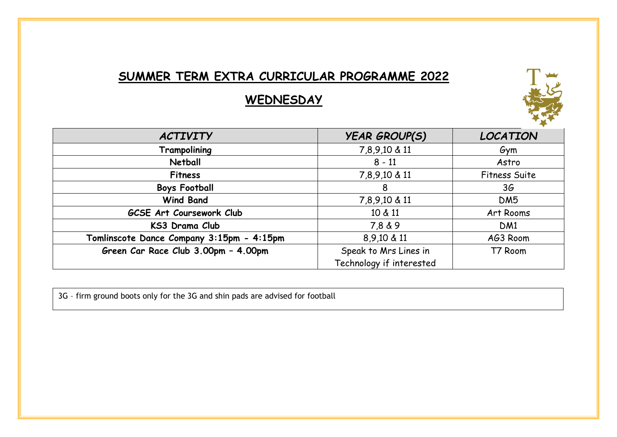## **WEDNESDAY**



| <b>ACTIVITY</b>                           | <b>YEAR GROUP(S)</b>     | <b>LOCATION</b>      |
|-------------------------------------------|--------------------------|----------------------|
| Trampolining                              | 7,8,9,10 & 11            | Gym                  |
| Netball                                   | $8 - 11$                 | Astro                |
| <b>Fitness</b>                            | 7,8,9,10 & 11            | <b>Fitness Suite</b> |
| <b>Boys Football</b>                      | 8                        | 3 <sub>6</sub>       |
| <b>Wind Band</b>                          | 7,8,9,10 & 11            | DM <sub>5</sub>      |
| GCSE Art Coursework Club                  | 10 & 11                  | Art Rooms            |
| KS3 Drama Club                            | 7,8 & 9                  | DM <sub>1</sub>      |
| Tomlinscote Dance Company 3:15pm - 4:15pm | 8,9,10 & 11              | AG3 Room             |
| Green Car Race Club 3.00pm - 4.00pm       | Speak to Mrs Lines in    | T7 Room              |
|                                           | Technology if interested |                      |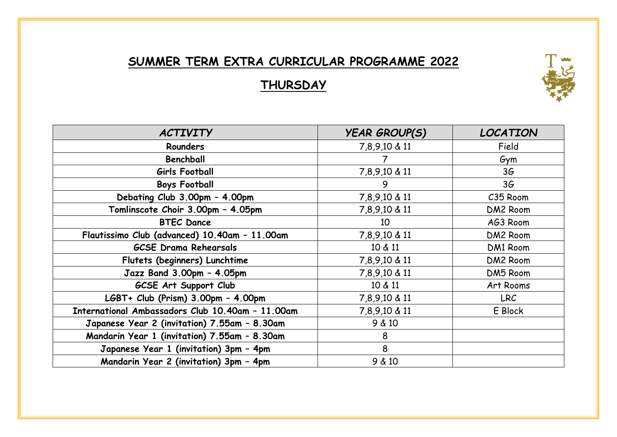# **THURSDAY**

| <b>ACTIVITY</b>                                  | <b>YEAR GROUP(S)</b> | <b>LOCATION</b> |
|--------------------------------------------------|----------------------|-----------------|
| <b>Rounders</b>                                  | 7,8,9,10 & 11        | Field           |
| Benchball                                        | 7                    | Gym             |
| Girls Football                                   | 7,8,9,10 & 11        | 36              |
| <b>Boys Football</b>                             | 9                    | 36              |
| Debating Club 3.00pm - 4.00pm                    | 7,8,9,10 & 11        | C35 Room        |
| Tomlinscote Choir 3.00pm - 4.05pm                | 7,8,9,10 & 11        | DM2 Room        |
| <b>BTEC Dance</b>                                | 10                   | AG3 Room        |
| Flautissimo Club (advanced) 10.40am - 11.00am    | 7,8,9,10 & 11        | DM2 Room        |
| <b>GCSE Drama Rehearsals</b>                     | 10 & 11              | DM1 Room        |
| Flutets (beginners) Lunchtime                    | 7,8,9,10 & 11        | DM2 Room        |
| Jazz Band 3.00pm - 4.05pm                        | 7,8,9,10 & 11        | DM5 Room        |
| GCSE Art Support Club                            | 10 & 11              | Art Rooms       |
| LGBT+ Club (Prism) 3.00pm - 4.00pm               | 7,8,9,10 & 11        | <b>LRC</b>      |
| International Ambassadors Club 10.40am - 11.00am | 7,8,9,10 & 11        | E Block         |
| Japanese Year 2 (invitation) 7.55am - 8.30am     | 9 & 10               |                 |
| Mandarin Year 1 (invitation) 7.55am - 8.30am     | 8                    |                 |
| Japanese Year 1 (invitation) 3pm - 4pm           | 8                    |                 |
| Mandarin Year 2 (invitation) 3pm - 4pm           | 9 & 10               |                 |